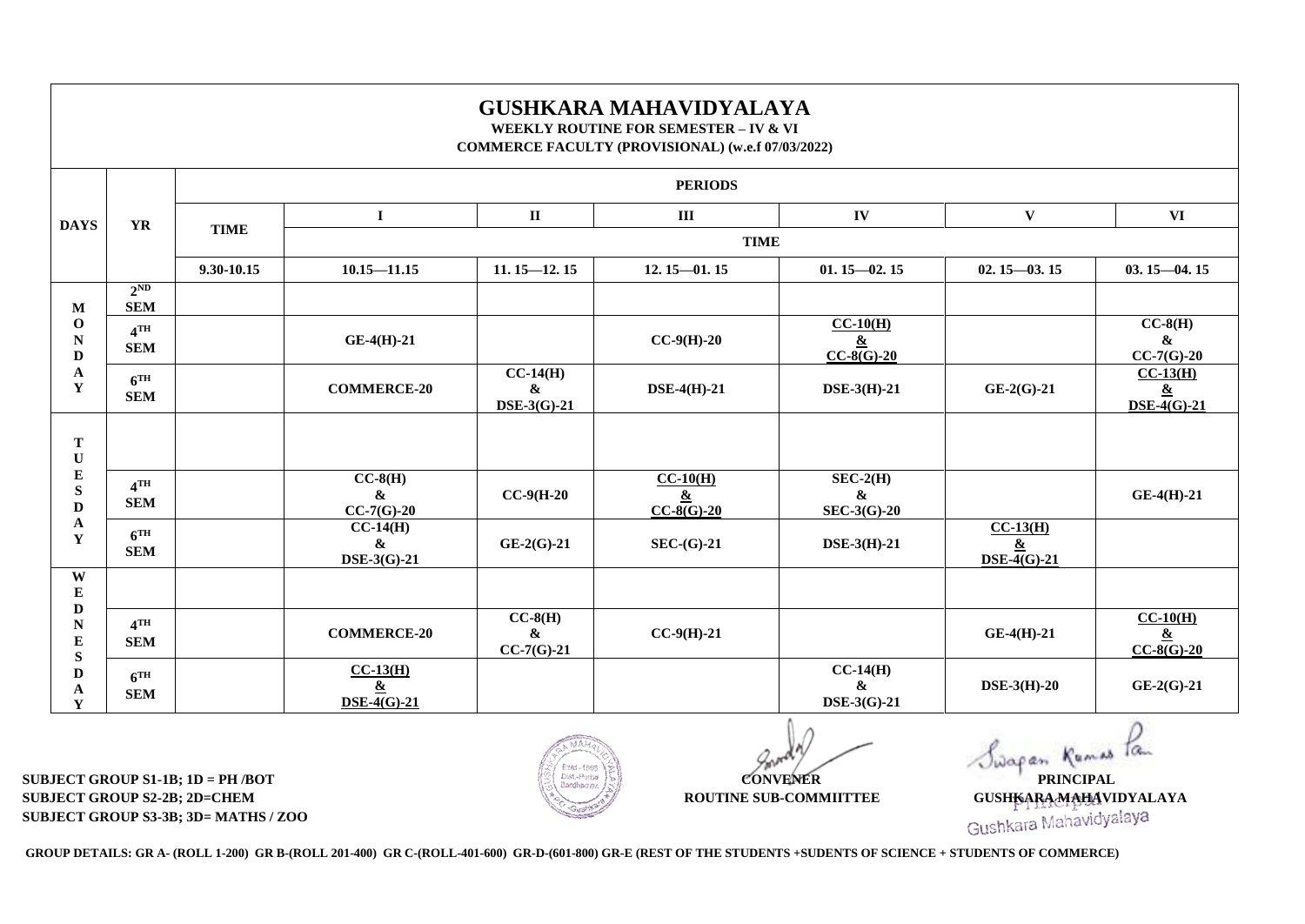## **GUSHKARA MAHAVIDYALAYA WEEKLY ROUTINE FOR SEMESTER – IV & VI**

**COMMERCE FACULTY (PROVISIONAL) (w.e.f 07/03/2022)**

|                                                                                                                      | <b>YR</b>                     | <b>PERIODS</b> |                                                          |                                                             |                                                |                                                       |                                                                        |                                                                        |  |  |
|----------------------------------------------------------------------------------------------------------------------|-------------------------------|----------------|----------------------------------------------------------|-------------------------------------------------------------|------------------------------------------------|-------------------------------------------------------|------------------------------------------------------------------------|------------------------------------------------------------------------|--|--|
| <b>DAYS</b>                                                                                                          |                               | <b>TIME</b>    | $\bf{I}$                                                 | $\mathbf{I}\mathbf{I}$                                      | $\rm III$                                      | IV                                                    | $\mathbf{V}$                                                           | <b>VI</b>                                                              |  |  |
|                                                                                                                      |                               |                | <b>TIME</b>                                              |                                                             |                                                |                                                       |                                                                        |                                                                        |  |  |
|                                                                                                                      |                               | 9.30-10.15     | $10.15 - 11.15$                                          | $11.15 - 12.15$                                             | $12.15 - 01.15$                                | $01.15 - 02.15$                                       | $02.15 - 03.15$                                                        | $03.15 - 04.15$                                                        |  |  |
| M<br>$\mathbf{o}$<br>$\mathbf N$<br>$\mathbf D$<br>$\mathbf A$<br>$\mathbf Y$                                        | $2^{ND}$<br><b>SEM</b>        |                |                                                          |                                                             |                                                |                                                       |                                                                        |                                                                        |  |  |
|                                                                                                                      | $4$ TH<br><b>SEM</b>          |                | $GE-4(H)-21$                                             |                                                             | $CC-9(H)-20$                                   | $CC-10(H)$<br>$\underline{\&}$<br>$CC-8(G)-20$        |                                                                        | $CC-8(H)$<br>$\boldsymbol{\&}$<br>$CC-7(G)-20$                         |  |  |
|                                                                                                                      | 6 <sup>TH</sup><br><b>SEM</b> |                | <b>COMMERCE-20</b>                                       | $\overline{CC-14(H)}$<br>$\boldsymbol{\&}$<br>$DSE-3(G)-21$ | $DSE-4(H)-21$                                  | DSE-3(H)-21                                           | $GE-2(G)-21$                                                           | $CC-13(H)$<br>$\underline{\&}$<br>$\overline{\text{DSE-4(G)}\cdot 21}$ |  |  |
| $\mathbf T$<br>$\mathbf U$<br>${\bf E}$<br>${\bf S}$<br>D<br>A<br>Y                                                  |                               |                |                                                          |                                                             |                                                |                                                       |                                                                        |                                                                        |  |  |
|                                                                                                                      | $4$ TH<br><b>SEM</b>          |                | $CC-8(H)$<br>&<br>$CC-7(G)-20$                           | $CC-9(H-20)$                                                | $CC-10(H)$<br>$\underline{\&}$<br>$CC-8(G)-20$ | $SEC-2(H)$<br>$\boldsymbol{\&}$<br><b>SEC-3(G)-20</b> |                                                                        | $GE-4(H)-21$                                                           |  |  |
|                                                                                                                      | 6 <sup>TH</sup><br><b>SEM</b> |                | $CC-14(H)$<br>$\boldsymbol{\&}$<br>DSE-3(G)-21           | $GE-2(G)-21$                                                | $SEC-(G)-21$                                   | $DSE-3(H)-21$                                         | $CC-13(H)$<br>$\underline{\&}$<br>$\overline{\text{DSE-4(G)}\cdot 21}$ |                                                                        |  |  |
| W<br>${\bf E}$<br>$\mathbf D$<br>$\mathbf N$<br>${\bf E}$<br>${\bf S}$<br>$\mathbf D$<br>$\mathbf{A}$<br>$\mathbf Y$ |                               |                |                                                          |                                                             |                                                |                                                       |                                                                        |                                                                        |  |  |
|                                                                                                                      | $4$ TH<br><b>SEM</b>          |                | <b>COMMERCE-20</b>                                       | $CC-8(H)$<br>$\pmb{\&}$<br>$CC-7(G)-21$                     | $CC-9(H)-21$                                   |                                                       | $GE-4(H)-21$                                                           | $CC-10(H)$<br>$\overline{\underline{\mathbf{\&}}}$<br>$CC-8(G)-20$     |  |  |
|                                                                                                                      | 6 <sup>TH</sup><br><b>SEM</b> |                | $CC-13(H)$<br>$\underline{\mathbf{\&}}$<br>$DSE-4(G)-21$ |                                                             |                                                | $CC-14(H)$<br>$\boldsymbol{\&}$<br>DSE-3(G)-21        | $DSE-3(H)-20$                                                          | $GE-2(G)-21$                                                           |  |  |

**SUBJECT GROUP S1-1B; 1D = PH /BOT CONVENER PRINCIPAL SUBJECT GROUP S2-2B; 2D=CHEM ROUTINE SUB-COMMITTEE** GUSHKARA GUSHKARA GUSHKARA MAHAVIDYALAYA **SUBJECT GROUP S3-3B; 3D= MATHS / ZOO COMMITTEE COMMITTEE** GUSHKARA MAHAVIDYALAYA **CUSHKARA MAHAVIDYALAYA SUBJECT GROUP S3-3B; 3D= MATHS / ZOO**



Swapan Kumas Tam

**GROUP DETAILS: GR A- (ROLL 1-200) GR B-(ROLL 201-400) GR C-(ROLL-401-600) GR-D-(601-800) GR-E (REST OF THE STUDENTS +SUDENTS OF SCIENCE + STUDENTS OF COMMERCE)**